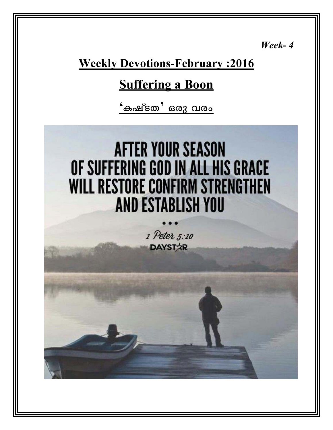*Week- 4* 

## **Weekly Devotions-February :2016**

## **Suffering a Boon**

<mark>'കഷ്ടത' ഒരു വരം</mark>

# **AFTER YOUR SEASON** OF SUFFERING GOD IN ALL HIS GRACE **WILL RESTORE CONFIRM STRENGTHEN AND ESTABLISH YOU**

1 Peter 5:10 **DAYSTAR**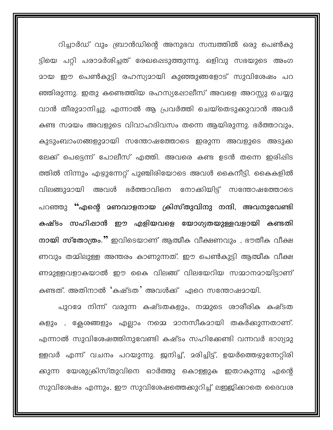റിച്ചാർഡ് വും ബ്രാൻഡിന്റെ അനുഭവ സമ്പത്തിൽ ഒരു പെൺകു ട്ടിയെ പറ്റി പരാമർശിച്ചത് രേഖപ്പെടുത്തുന്നു. ഒളിവു സഭയുടെ അംഗ <u>മായ ഈ പെൺകുട്ടി രഹസ്യമായി കുഞ്ഞുങ്ങളോട് സുവിശേഷം പറ</u> ഞ്ഞിരുന്നു. ഇതു കണ്ടെത്തിയ രഹസ്യഷോലീസ് അവളെ അറസ്റ്റു ചെയ്യു വാൻ തീരുമാനിച്ചു. എന്നാൽ ആ പ്രവർത്തി ചെയ്തെടുക്കുവാൻ അവർ കണ്ട സമയം അവളുടെ വിവാഹദിവസം തന്നെ ആയിരുന്നു. ഭർത്താവും, കുടുംബാംഗങ്ങളുമായി സന്തോഷത്തോടെ ഇരുന്ന അവളുടെ അടുക്ക ലേക്ക് പെട്ടെന്ന് പോലീസ് എത്തി. അവരെ കണ്ട ഉടൻ തന്നെ ഇരിഷിട ത്തിൽ നിന്നും എഴുന്നേറ്റ് പുഞ്ചിരിയോടെ അവൾ കൈനീട്ടി. കൈകളിൽ വിലങ്ങുമായി അവൾ ഭർത്താവിനെ നോക്കിയിട്ട് സന്തോഷത്തോടെ പറഞ്ഞു "എന്റെ മണവാളനായ ക്രിസ്തുവിനു നന്ദി, അവനുവേണ്ടി കഷ്ടം സഹിഷാൻ ഈ എളിയവളെ യോഗ്യതയുള്ളവളായി കണ്ടതി നായി സ്തോത്രം." ഇവിടെയാണ് ആത്മീക വീക്ഷണവും , ഭൗതീക വീക്ഷ ണവും തമ്മിലുള്ള അന്തരം കാണുന്നത്. ഈ പെൺകുട്ടി ആത്മീക വീക്ഷ ണമുള്ളവളാകയാൽ ഈ കൈ വിലങ്ങ് വിലയേറിയ സമ്മാനമായിട്ടാണ് കണ്ടത്. അതിനാൽ 'കഷ്ടത' അവൾക്ക് ഏറെ സന്തോഷമായി.

പുറമേ നിന്ന് വരുന്ന കഷ്ടതകളും, നമ്മുടെ ശാരീരിക കഷ്ടത കളും , ക്ലേശങ്ങളും എല്ലാം നമ്മെ മാനസീകമായി തകർക്കുന്നതാണ്. എന്നാൽ സുവിശേഷത്തിനുവേണ്ടി കഷ്ടം സഹിക്കേണ്ടി വന്നവർ ഭാഗ്യമു ള്ളവർ എന്ന് വചനം പറയുന്നു. ഇനിച്ച്, മരിച്ചിട്ട്, ഉയർത്തെഴുന്നേറ്റിരി ക്കുന്ന യേശുക്രിസ്തുവിനെ ഓർത്തു കൊള്ളുക ഇതാകുന്നു എന്റെ സുവിശേഷം എന്നും, ഈ സുവിശേഷത്തെക്കുറിച്ച് ലഇജിക്കാതെ ദൈവശ